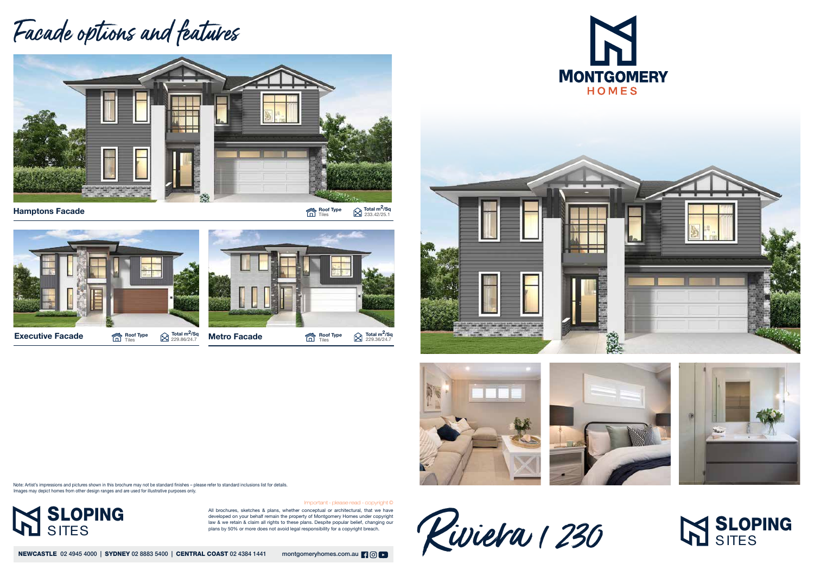All brochures, sketches & plans, whether conceptual or architectural, that we have developed on your behalf remain the property of Montgomery Homes under copyright law & we retain & claim all rights to these plans. Despite popular belief, changing our plans by 50% or more does not avoid legal responsibility for a copyright breach.

NEWCASTLE 02 4945 4000 | SYDNEY 02 8883 5400 | CENTRAL COAST 02 4384 1441 montgomeryhomes.com.au | 9 0 | 0

Riviera 1230



## **IN SLOPING**

Important - please read - copyright ©

## Facade options and features



Hamptons Facade  $\blacksquare$ 

 $\bigotimes$  Total m<sup>2</sup>/Sq<br>233.42/25.1



Note: Artist's impressions and pictures shown in this brochure may not be standard finishes – please refer to standard inclusions list for details. Images may depict homes from other design ranges and are used for illustrative purposes only.